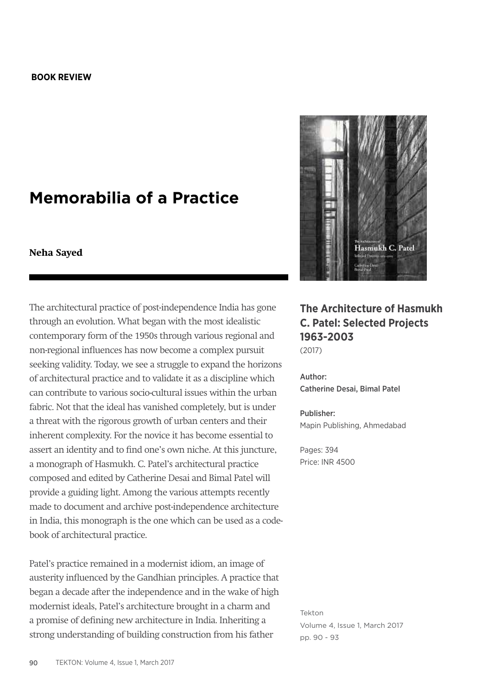## **BOOK REVIEW**

## **Memorabilia of a Practice**

## **Neha Sayed**

The architectural practice of post-independence India has gone through an evolution. What began with the most idealistic contemporary form of the 1950s through various regional and non-regional influences has now become a complex pursuit seeking validity. Today, we see a struggle to expand the horizons of architectural practice and to validate it as a discipline which can contribute to various socio-cultural issues within the urban fabric. Not that the ideal has vanished completely, but is under a threat with the rigorous growth of urban centers and their inherent complexity. For the novice it has become essential to assert an identity and to find one's own niche. At this juncture, a monograph of Hasmukh. C. Patel's architectural practice composed and edited by Catherine Desai and Bimal Patel will provide a guiding light. Among the various attempts recently made to document and archive post-independence architecture in India, this monograph is the one which can be used as a codebook of architectural practice.

Patel's practice remained in a modernist idiom, an image of austerity influenced by the Gandhian principles. A practice that began a decade after the independence and in the wake of high modernist ideals, Patel's architecture brought in a charm and a promise of defining new architecture in India. Inheriting a strong understanding of building construction from his father



## **The Architecture of Hasmukh C. Patel: Selected Projects 1963-2003**

(2017)

Author: Catherine Desai, Bimal Patel

Publisher: Mapin Publishing, Ahmedabad

Pages: 394 Price: INR 4500

Tekton Volume 4, Issue 1, March 2017 pp. 90 - 93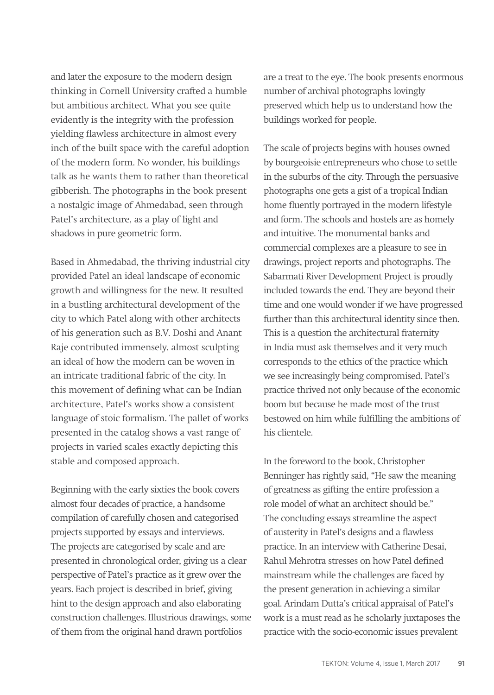and later the exposure to the modern design thinking in Cornell University crafted a humble but ambitious architect. What you see quite evidently is the integrity with the profession yielding flawless architecture in almost every inch of the built space with the careful adoption of the modern form. No wonder, his buildings talk as he wants them to rather than theoretical gibberish. The photographs in the book present a nostalgic image of Ahmedabad, seen through Patel's architecture, as a play of light and shadows in pure geometric form.

Based in Ahmedabad, the thriving industrial city provided Patel an ideal landscape of economic growth and willingness for the new. It resulted in a bustling architectural development of the city to which Patel along with other architects of his generation such as B.V. Doshi and Anant Raje contributed immensely, almost sculpting an ideal of how the modern can be woven in an intricate traditional fabric of the city. In this movement of defining what can be Indian architecture, Patel's works show a consistent language of stoic formalism. The pallet of works presented in the catalog shows a vast range of projects in varied scales exactly depicting this stable and composed approach.

Beginning with the early sixties the book covers almost four decades of practice, a handsome compilation of carefully chosen and categorised projects supported by essays and interviews. The projects are categorised by scale and are presented in chronological order, giving us a clear perspective of Patel's practice as it grew over the years. Each project is described in brief, giving hint to the design approach and also elaborating construction challenges. Illustrious drawings, some of them from the original hand drawn portfolios

are a treat to the eye. The book presents enormous number of archival photographs lovingly preserved which help us to understand how the buildings worked for people.

The scale of projects begins with houses owned by bourgeoisie entrepreneurs who chose to settle in the suburbs of the city. Through the persuasive photographs one gets a gist of a tropical Indian home fluently portrayed in the modern lifestyle and form. The schools and hostels are as homely and intuitive. The monumental banks and commercial complexes are a pleasure to see in drawings, project reports and photographs. The Sabarmati River Development Project is proudly included towards the end. They are beyond their time and one would wonder if we have progressed further than this architectural identity since then. This is a question the architectural fraternity in India must ask themselves and it very much corresponds to the ethics of the practice which we see increasingly being compromised. Patel's practice thrived not only because of the economic boom but because he made most of the trust bestowed on him while fulfilling the ambitions of his clientele.

In the foreword to the book, Christopher Benninger has rightly said, "He saw the meaning of greatness as gifting the entire profession a role model of what an architect should be." The concluding essays streamline the aspect of austerity in Patel's designs and a flawless practice. In an interview with Catherine Desai, Rahul Mehrotra stresses on how Patel defined mainstream while the challenges are faced by the present generation in achieving a similar goal. Arindam Dutta's critical appraisal of Patel's work is a must read as he scholarly juxtaposes the practice with the socio-economic issues prevalent